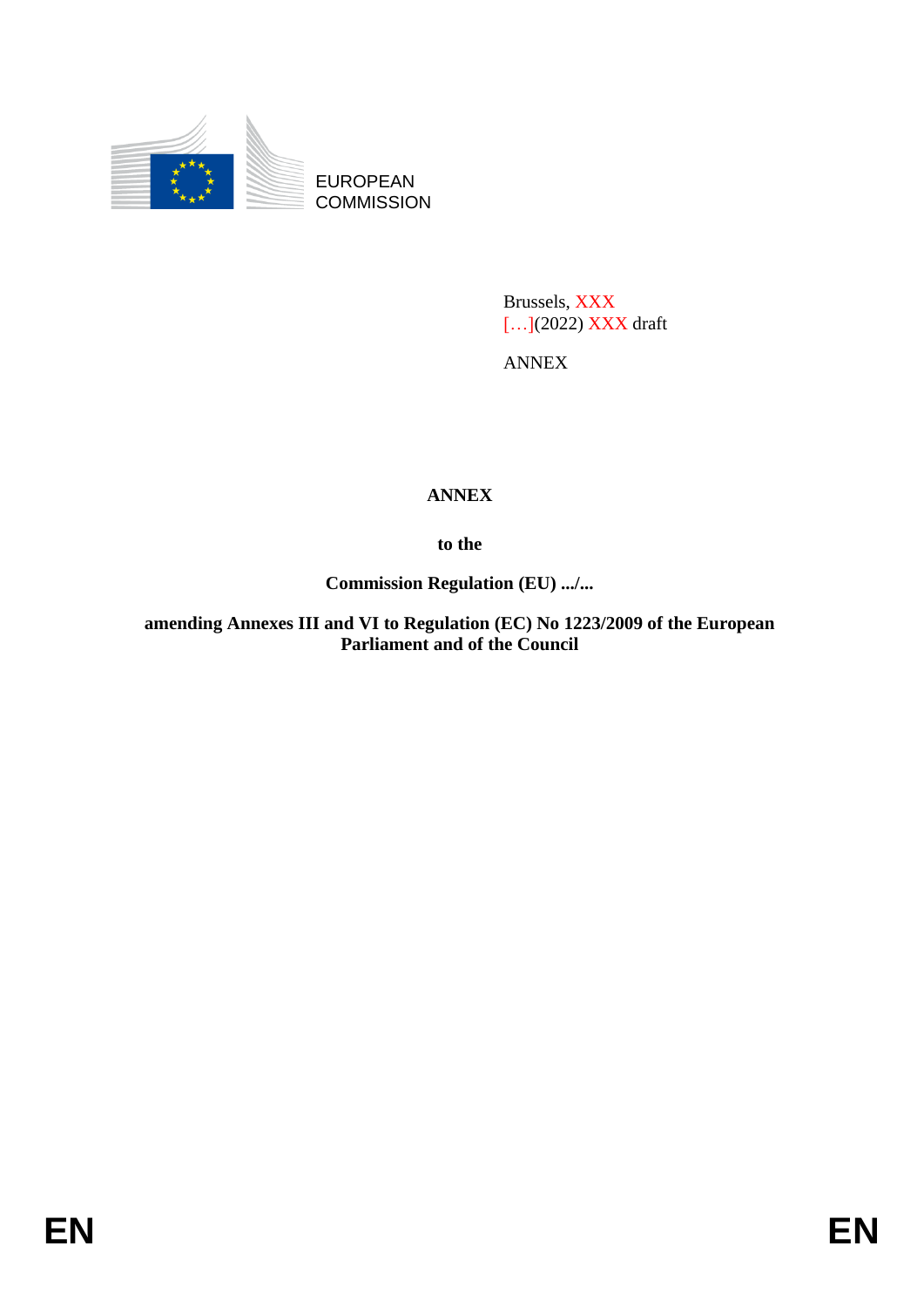

EUROPEAN **COMMISSION** 

> Brussels, XXX [...](2022) XXX draft

ANNEX

## **ANNEX**

**to the**

**Commission Regulation (EU) .../...**

**amending Annexes III and VI to Regulation (EC) No 1223/2009 of the European Parliament and of the Council**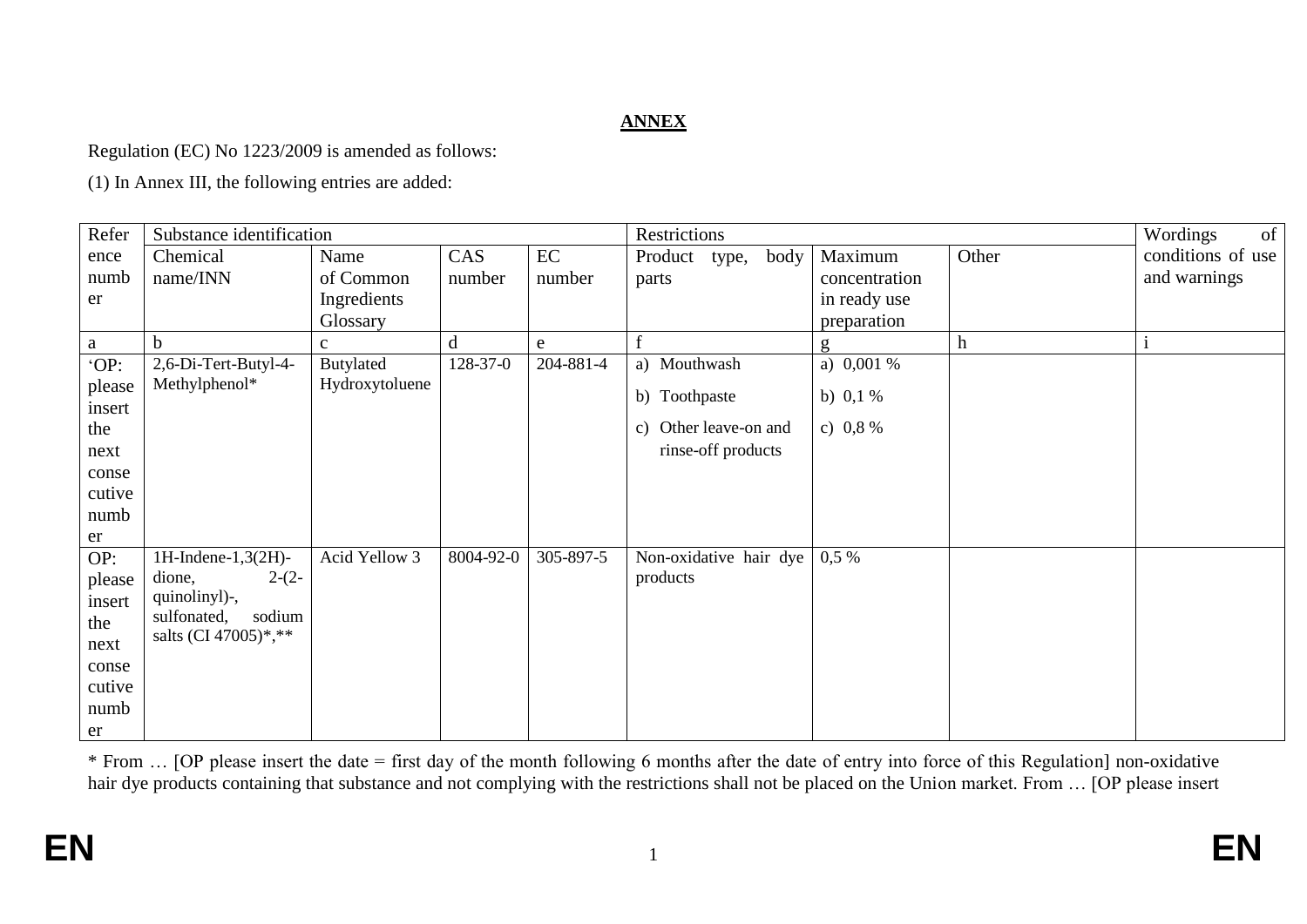## **ANNEX**

Regulation (EC) No 1223/2009 is amended as follows:

(1) In Annex III, the following entries are added:

| Refer  | Substance identification                      |                |           |           | Restrictions             |               |             | of<br>Wordings    |
|--------|-----------------------------------------------|----------------|-----------|-----------|--------------------------|---------------|-------------|-------------------|
| ence   | Chemical                                      | Name           | CAS       | EC        | Product<br>body<br>type, | Maximum       | Other       | conditions of use |
| numb   | name/INN                                      | of Common      | number    | number    | parts                    | concentration |             | and warnings      |
| er     |                                               | Ingredients    |           |           |                          | in ready use  |             |                   |
|        |                                               | Glossary       |           |           |                          | preparation   |             |                   |
| a      | b                                             | $\mathbf{C}$   | d         | e         |                          | g             | $\mathbf h$ |                   |
| 'OP:   | 2,6-Di-Tert-Butyl-4-                          | Butylated      | 128-37-0  | 204-881-4 | a) Mouthwash             | a) $0,001\%$  |             |                   |
| please | Methylphenol*                                 | Hydroxytoluene |           |           | b) Toothpaste            | b) $0,1%$     |             |                   |
| insert |                                               |                |           |           |                          |               |             |                   |
| the    |                                               |                |           |           | c) Other leave-on and    | c) $0,8%$     |             |                   |
| next   |                                               |                |           |           | rinse-off products       |               |             |                   |
| conse  |                                               |                |           |           |                          |               |             |                   |
| cutive |                                               |                |           |           |                          |               |             |                   |
| numb   |                                               |                |           |           |                          |               |             |                   |
| er     |                                               |                |           |           |                          |               |             |                   |
| OP:    | 1H-Indene- $1,3(2H)$ -                        | Acid Yellow 3  | 8004-92-0 | 305-897-5 | Non-oxidative hair dye   | $0,5\%$       |             |                   |
| please | $2-(2-$<br>dione,                             |                |           |           | products                 |               |             |                   |
| insert | quinolinyl)-,                                 |                |           |           |                          |               |             |                   |
| the    | sodium<br>sulfonated,<br>salts (CI 47005)*,** |                |           |           |                          |               |             |                   |
| next   |                                               |                |           |           |                          |               |             |                   |
| conse  |                                               |                |           |           |                          |               |             |                   |
| cutive |                                               |                |           |           |                          |               |             |                   |
| numb   |                                               |                |           |           |                          |               |             |                   |
| er     |                                               |                |           |           |                          |               |             |                   |

\* From … [OP please insert the date = first day of the month following 6 months after the date of entry into force of this Regulation] non-oxidative hair dye products containing that substance and not complying with the restrictions shall not be placed on the Union market. From ... [OP please insert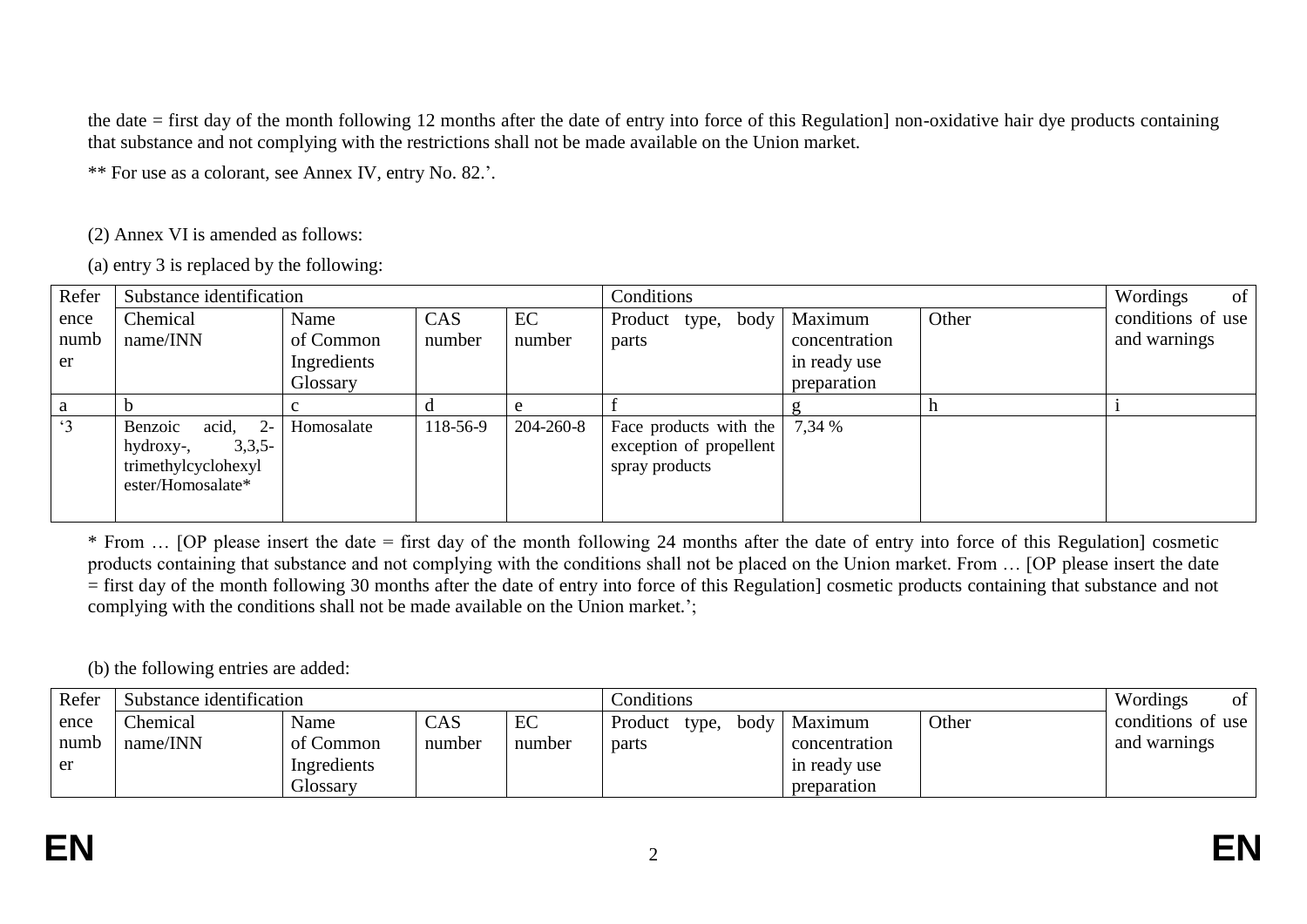the date = first day of the month following 12 months after the date of entry into force of this Regulation] non-oxidative hair dye products containing that substance and not complying with the restrictions shall not be made available on the Union market.

\*\* For use as a colorant, see Annex IV, entry No. 82.'.

(2) Annex VI is amended as follows:

(a) entry 3 is replaced by the following:

| Refer     | Substance identification                                                                        |             |          |           | Conditions                                                          |               |       | of<br>Wordings    |
|-----------|-------------------------------------------------------------------------------------------------|-------------|----------|-----------|---------------------------------------------------------------------|---------------|-------|-------------------|
| ence      | Chemical                                                                                        | Name        | CAS      | EC        | Product type, body                                                  | Maximum       | Other | conditions of use |
| numb      | name/INN                                                                                        | of Common   | number   | number    | parts                                                               | concentration |       | and warnings      |
| er        |                                                                                                 | Ingredients |          |           |                                                                     | in ready use  |       |                   |
|           |                                                                                                 | Glossary    |          |           |                                                                     | preparation   |       |                   |
|           |                                                                                                 |             |          |           |                                                                     |               |       |                   |
| $\cdot$ 3 | Benzoic<br>$\alpha$ id, 2-<br>$3,3,5-$<br>hydroxy-,<br>trimethylcyclohexyl<br>ester/Homosalate* | Homosalate  | 118-56-9 | 204-260-8 | Face products with the<br>exception of propellent<br>spray products | 7,34 %        |       |                   |

\* From … [OP please insert the date = first day of the month following 24 months after the date of entry into force of this Regulation] cosmetic products containing that substance and not complying with the conditions shall not be placed on the Union market. From … [OP please insert the date = first day of the month following 30 months after the date of entry into force of this Regulation] cosmetic products containing that substance and not complying with the conditions shall not be made available on the Union market.';

(b) the following entries are added:

| Refer | Substance identification |             |                             |        | Conditions               | Wordings<br><sub>of</sub> |       |                   |
|-------|--------------------------|-------------|-----------------------------|--------|--------------------------|---------------------------|-------|-------------------|
| ence  | <b>Chemical</b>          | Name        | $\mathop{\rm CAS}\nolimits$ | EC     | Product<br>body<br>type, | Maximum                   | Other | conditions of use |
| numb  | name/INN                 | of Common   | number                      | number | parts                    | concentration             |       | and warnings      |
| er    |                          | Ingredients |                             |        |                          | in ready use              |       |                   |
|       |                          | Glossary    |                             |        |                          | preparation               |       |                   |